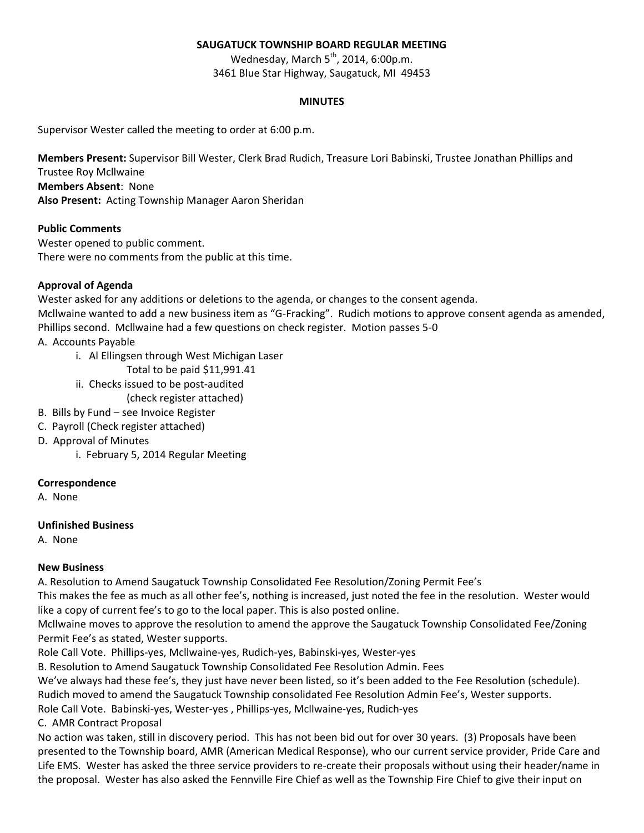## **SAUGATUCK TOWNSHIP BOARD REGULAR MEETING**

Wednesday, March  $5^{th}$ , 2014, 6:00p.m. 3461 Blue Star Highway, Saugatuck, MI 49453

#### **MINUTES**

Supervisor Wester called the meeting to order at 6:00 p.m.

**Members Present:** Supervisor Bill Wester, Clerk Brad Rudich, Treasure Lori Babinski, Trustee Jonathan Phillips and Trustee Roy Mcllwaine **Members Absent**: None **Also Present:** Acting Township Manager Aaron Sheridan

#### **Public Comments**

Wester opened to public comment. There were no comments from the public at this time.

## **Approval of Agenda**

Wester asked for any additions or deletions to the agenda, or changes to the consent agenda.

Mcllwaine wanted to add a new business item as "G-Fracking". Rudich motions to approve consent agenda as amended, Phillips second. Mcllwaine had a few questions on check register. Motion passes 5-0

## A. Accounts Payable

- i. Al Ellingsen through West Michigan Laser
	- Total to be paid \$11,991.41
- ii. Checks issued to be post-audited
	- (check register attached)
- B. Bills by Fund see Invoice Register
- C. Payroll (Check register attached)
- D. Approval of Minutes
	- i. February 5, 2014 Regular Meeting

#### **Correspondence**

A. None

#### **Unfinished Business**

A. None

#### **New Business**

A. Resolution to Amend Saugatuck Township Consolidated Fee Resolution/Zoning Permit Fee's

This makes the fee as much as all other fee's, nothing is increased, just noted the fee in the resolution. Wester would like a copy of current fee's to go to the local paper. This is also posted online.

Mcllwaine moves to approve the resolution to amend the approve the Saugatuck Township Consolidated Fee/Zoning Permit Fee's as stated, Wester supports.

Role Call Vote. Phillips-yes, Mcllwaine-yes, Rudich-yes, Babinski-yes, Wester-yes

B. Resolution to Amend Saugatuck Township Consolidated Fee Resolution Admin. Fees

We've always had these fee's, they just have never been listed, so it's been added to the Fee Resolution (schedule).

Rudich moved to amend the Saugatuck Township consolidated Fee Resolution Admin Fee's, Wester supports.

Role Call Vote. Babinski-yes, Wester-yes , Phillips-yes, Mcllwaine-yes, Rudich-yes

C. AMR Contract Proposal

No action was taken, still in discovery period. This has not been bid out for over 30 years. (3) Proposals have been presented to the Township board, AMR (American Medical Response), who our current service provider, Pride Care and Life EMS. Wester has asked the three service providers to re-create their proposals without using their header/name in the proposal. Wester has also asked the Fennville Fire Chief as well as the Township Fire Chief to give their input on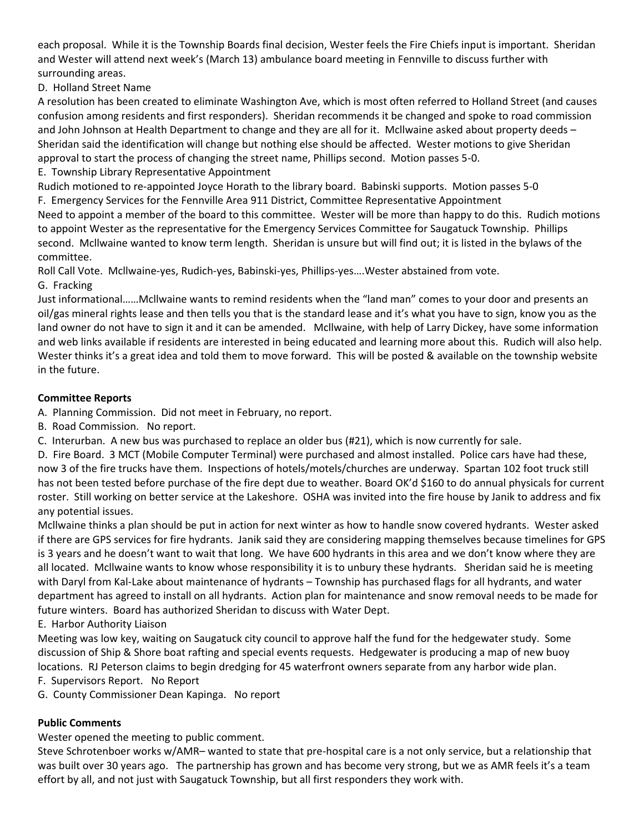each proposal. While it is the Township Boards final decision, Wester feels the Fire Chiefs input is important. Sheridan and Wester will attend next week's (March 13) ambulance board meeting in Fennville to discuss further with surrounding areas.

D. Holland Street Name

A resolution has been created to eliminate Washington Ave, which is most often referred to Holland Street (and causes confusion among residents and first responders). Sheridan recommends it be changed and spoke to road commission and John Johnson at Health Department to change and they are all for it. Mcllwaine asked about property deeds – Sheridan said the identification will change but nothing else should be affected. Wester motions to give Sheridan approval to start the process of changing the street name, Phillips second. Motion passes 5-0.

E. Township Library Representative Appointment

Rudich motioned to re-appointed Joyce Horath to the library board. Babinski supports. Motion passes 5-0

F. Emergency Services for the Fennville Area 911 District, Committee Representative Appointment Need to appoint a member of the board to this committee. Wester will be more than happy to do this. Rudich motions to appoint Wester as the representative for the Emergency Services Committee for Saugatuck Township. Phillips second. Mcllwaine wanted to know term length. Sheridan is unsure but will find out; it is listed in the bylaws of the committee.

Roll Call Vote. Mcllwaine-yes, Rudich-yes, Babinski-yes, Phillips-yes….Wester abstained from vote.

G. Fracking

Just informational……Mcllwaine wants to remind residents when the "land man" comes to your door and presents an oil/gas mineral rights lease and then tells you that is the standard lease and it's what you have to sign, know you as the land owner do not have to sign it and it can be amended. Mcllwaine, with help of Larry Dickey, have some information and web links available if residents are interested in being educated and learning more about this. Rudich will also help. Wester thinks it's a great idea and told them to move forward. This will be posted & available on the township website in the future.

# **Committee Reports**

A. Planning Commission. Did not meet in February, no report.

B. Road Commission. No report.

C. Interurban. A new bus was purchased to replace an older bus (#21), which is now currently for sale.

D. Fire Board. 3 MCT (Mobile Computer Terminal) were purchased and almost installed. Police cars have had these, now 3 of the fire trucks have them. Inspections of hotels/motels/churches are underway. Spartan 102 foot truck still has not been tested before purchase of the fire dept due to weather. Board OK'd \$160 to do annual physicals for current roster. Still working on better service at the Lakeshore. OSHA was invited into the fire house by Janik to address and fix any potential issues.

Mcllwaine thinks a plan should be put in action for next winter as how to handle snow covered hydrants. Wester asked if there are GPS services for fire hydrants. Janik said they are considering mapping themselves because timelines for GPS is 3 years and he doesn't want to wait that long. We have 600 hydrants in this area and we don't know where they are all located. Mcllwaine wants to know whose responsibility it is to unbury these hydrants. Sheridan said he is meeting with Daryl from Kal-Lake about maintenance of hydrants – Township has purchased flags for all hydrants, and water department has agreed to install on all hydrants. Action plan for maintenance and snow removal needs to be made for future winters. Board has authorized Sheridan to discuss with Water Dept.

E. Harbor Authority Liaison

Meeting was low key, waiting on Saugatuck city council to approve half the fund for the hedgewater study. Some discussion of Ship & Shore boat rafting and special events requests. Hedgewater is producing a map of new buoy locations. RJ Peterson claims to begin dredging for 45 waterfront owners separate from any harbor wide plan. F. Supervisors Report. No Report

G. County Commissioner Dean Kapinga. No report

# **Public Comments**

Wester opened the meeting to public comment.

Steve Schrotenboer works w/AMR– wanted to state that pre-hospital care is a not only service, but a relationship that was built over 30 years ago. The partnership has grown and has become very strong, but we as AMR feels it's a team effort by all, and not just with Saugatuck Township, but all first responders they work with.